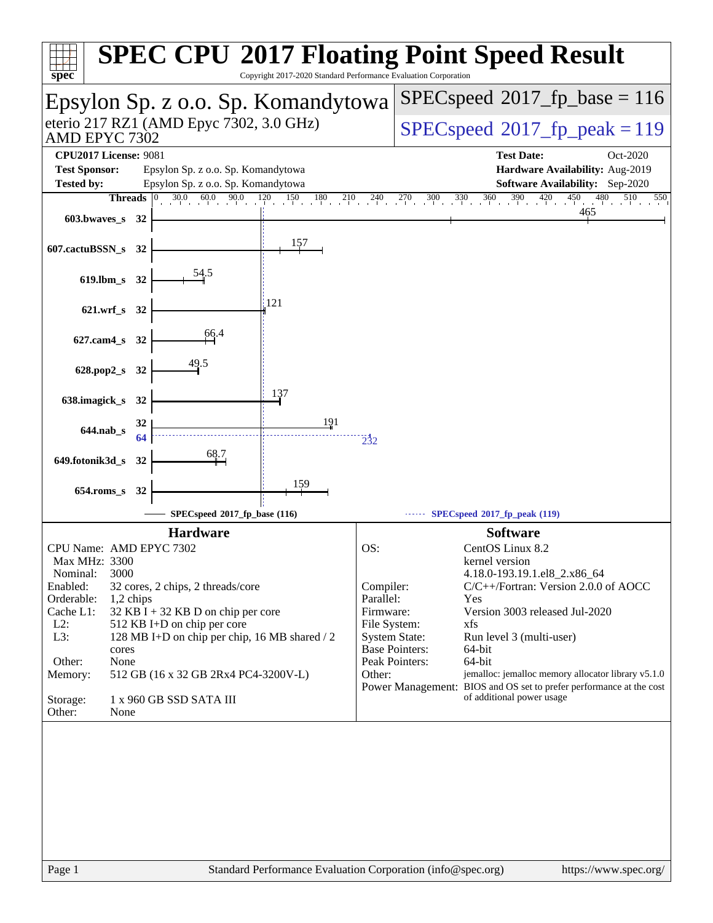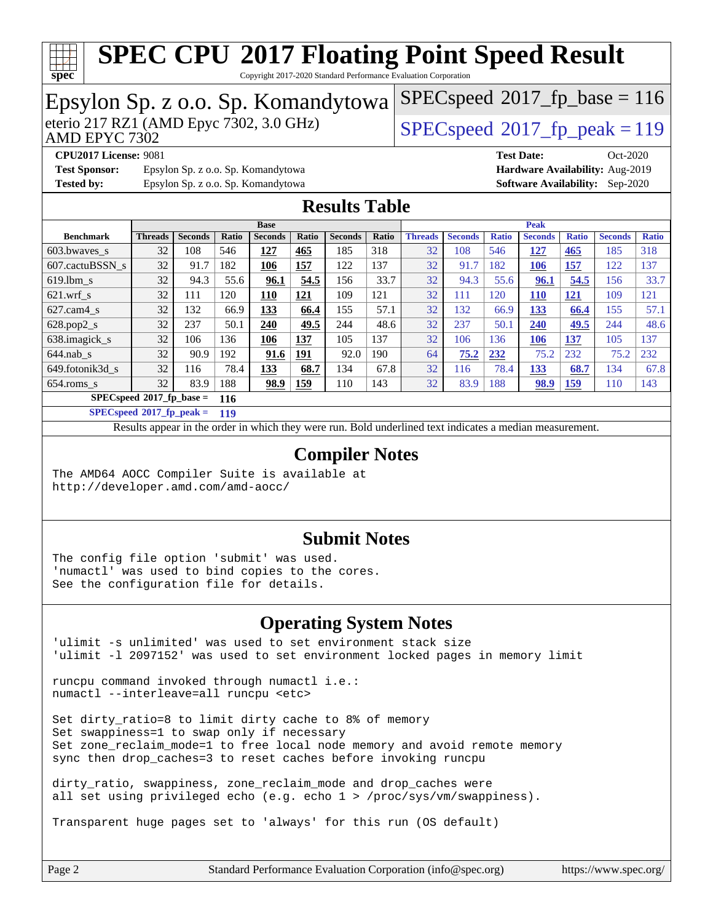

Copyright 2017-2020 Standard Performance Evaluation Corporation

#### Epsylon Sp. z o.o. Sp. Komandytowa<br>eterio 217 RZ1 (AMD Epyc 7302, 3.0 GHz) AMD EPYC 7302 [SPECspeed](http://www.spec.org/auto/cpu2017/Docs/result-fields.html#SPECspeed2017fppeak)<sup>®</sup>2017 fp peak = 119  $SPEC speed^{\circledast}2017\_fp\_base = 116$ **[CPU2017 License:](http://www.spec.org/auto/cpu2017/Docs/result-fields.html#CPU2017License)** 9081 **[Test Date:](http://www.spec.org/auto/cpu2017/Docs/result-fields.html#TestDate)** Oct-2020 **[Test Sponsor:](http://www.spec.org/auto/cpu2017/Docs/result-fields.html#TestSponsor)** Epsylon Sp. z o.o. Sp. Komandytowa **[Hardware Availability:](http://www.spec.org/auto/cpu2017/Docs/result-fields.html#HardwareAvailability)** Aug-2019 **[Tested by:](http://www.spec.org/auto/cpu2017/Docs/result-fields.html#Testedby)** Epsylon Sp. z o.o. Sp. Komandytowa **[Software Availability:](http://www.spec.org/auto/cpu2017/Docs/result-fields.html#SoftwareAvailability)** Sep-2020 **[Results Table](http://www.spec.org/auto/cpu2017/Docs/result-fields.html#ResultsTable) [Benchmark](http://www.spec.org/auto/cpu2017/Docs/result-fields.html#Benchmark) [Threads](http://www.spec.org/auto/cpu2017/Docs/result-fields.html#Threads) [Seconds](http://www.spec.org/auto/cpu2017/Docs/result-fields.html#Seconds) [Ratio](http://www.spec.org/auto/cpu2017/Docs/result-fields.html#Ratio) [Seconds](http://www.spec.org/auto/cpu2017/Docs/result-fields.html#Seconds) [Ratio](http://www.spec.org/auto/cpu2017/Docs/result-fields.html#Ratio) [Seconds](http://www.spec.org/auto/cpu2017/Docs/result-fields.html#Seconds) [Ratio](http://www.spec.org/auto/cpu2017/Docs/result-fields.html#Ratio) Base [Threads](http://www.spec.org/auto/cpu2017/Docs/result-fields.html#Threads) [Seconds](http://www.spec.org/auto/cpu2017/Docs/result-fields.html#Seconds) [Ratio](http://www.spec.org/auto/cpu2017/Docs/result-fields.html#Ratio) [Seconds](http://www.spec.org/auto/cpu2017/Docs/result-fields.html#Seconds) [Ratio](http://www.spec.org/auto/cpu2017/Docs/result-fields.html#Ratio) [Seconds](http://www.spec.org/auto/cpu2017/Docs/result-fields.html#Seconds) [Ratio](http://www.spec.org/auto/cpu2017/Docs/result-fields.html#Ratio) Peak** [603.bwaves\\_s](http://www.spec.org/auto/cpu2017/Docs/benchmarks/603.bwaves_s.html) 32 108 546 **[127](http://www.spec.org/auto/cpu2017/Docs/result-fields.html#Median) [465](http://www.spec.org/auto/cpu2017/Docs/result-fields.html#Median)** 185 318 32 108 546 **[127](http://www.spec.org/auto/cpu2017/Docs/result-fields.html#Median) [465](http://www.spec.org/auto/cpu2017/Docs/result-fields.html#Median)** 185 318 [607.cactuBSSN\\_s](http://www.spec.org/auto/cpu2017/Docs/benchmarks/607.cactuBSSN_s.html) 32 91.7 182 **[106](http://www.spec.org/auto/cpu2017/Docs/result-fields.html#Median) [157](http://www.spec.org/auto/cpu2017/Docs/result-fields.html#Median)** 122 137 32 91.7 182 **[106](http://www.spec.org/auto/cpu2017/Docs/result-fields.html#Median) [157](http://www.spec.org/auto/cpu2017/Docs/result-fields.html#Median)** 122 137 [619.lbm\\_s](http://www.spec.org/auto/cpu2017/Docs/benchmarks/619.lbm_s.html) 32 94.3 55.6 **[96.1](http://www.spec.org/auto/cpu2017/Docs/result-fields.html#Median) [54.5](http://www.spec.org/auto/cpu2017/Docs/result-fields.html#Median)** 156 33.7 32 94.3 55.6 **[96.1](http://www.spec.org/auto/cpu2017/Docs/result-fields.html#Median) [54.5](http://www.spec.org/auto/cpu2017/Docs/result-fields.html#Median)** 156 33.7 [621.wrf\\_s](http://www.spec.org/auto/cpu2017/Docs/benchmarks/621.wrf_s.html) 32 111 120 **[110](http://www.spec.org/auto/cpu2017/Docs/result-fields.html#Median) [121](http://www.spec.org/auto/cpu2017/Docs/result-fields.html#Median)** 109 121 32 111 120 **[110](http://www.spec.org/auto/cpu2017/Docs/result-fields.html#Median) [121](http://www.spec.org/auto/cpu2017/Docs/result-fields.html#Median)** 109 121 [627.cam4\\_s](http://www.spec.org/auto/cpu2017/Docs/benchmarks/627.cam4_s.html) 32 132 66.9 **[133](http://www.spec.org/auto/cpu2017/Docs/result-fields.html#Median) [66.4](http://www.spec.org/auto/cpu2017/Docs/result-fields.html#Median)** 155 57.1 32 132 66.9 **[133](http://www.spec.org/auto/cpu2017/Docs/result-fields.html#Median) [66.4](http://www.spec.org/auto/cpu2017/Docs/result-fields.html#Median)** 155 57.1 [628.pop2\\_s](http://www.spec.org/auto/cpu2017/Docs/benchmarks/628.pop2_s.html) 32 237 50.1 **[240](http://www.spec.org/auto/cpu2017/Docs/result-fields.html#Median) [49.5](http://www.spec.org/auto/cpu2017/Docs/result-fields.html#Median)** 244 48.6 32 237 50.1 **[240](http://www.spec.org/auto/cpu2017/Docs/result-fields.html#Median) [49.5](http://www.spec.org/auto/cpu2017/Docs/result-fields.html#Median)** 244 48.6 [638.imagick\\_s](http://www.spec.org/auto/cpu2017/Docs/benchmarks/638.imagick_s.html) 32 106 136 **[106](http://www.spec.org/auto/cpu2017/Docs/result-fields.html#Median) [137](http://www.spec.org/auto/cpu2017/Docs/result-fields.html#Median)** 105 137 32 106 136 **[106](http://www.spec.org/auto/cpu2017/Docs/result-fields.html#Median) [137](http://www.spec.org/auto/cpu2017/Docs/result-fields.html#Median)** 105 137 [644.nab\\_s](http://www.spec.org/auto/cpu2017/Docs/benchmarks/644.nab_s.html) 32 90.9 192 **[91.6](http://www.spec.org/auto/cpu2017/Docs/result-fields.html#Median) [191](http://www.spec.org/auto/cpu2017/Docs/result-fields.html#Median)** 92.0 190 64 **[75.2](http://www.spec.org/auto/cpu2017/Docs/result-fields.html#Median) [232](http://www.spec.org/auto/cpu2017/Docs/result-fields.html#Median)** 75.2 232 75.2 232 [649.fotonik3d\\_s](http://www.spec.org/auto/cpu2017/Docs/benchmarks/649.fotonik3d_s.html) 32 116 78.4 **[133](http://www.spec.org/auto/cpu2017/Docs/result-fields.html#Median) [68.7](http://www.spec.org/auto/cpu2017/Docs/result-fields.html#Median)** 134 67.8 32 116 78.4 **[133](http://www.spec.org/auto/cpu2017/Docs/result-fields.html#Median) [68.7](http://www.spec.org/auto/cpu2017/Docs/result-fields.html#Median)** 134 67.8 [654.roms\\_s](http://www.spec.org/auto/cpu2017/Docs/benchmarks/654.roms_s.html) 32 83.9 188 **[98.9](http://www.spec.org/auto/cpu2017/Docs/result-fields.html#Median) [159](http://www.spec.org/auto/cpu2017/Docs/result-fields.html#Median)** 110 143 32 83.9 188 **[98.9](http://www.spec.org/auto/cpu2017/Docs/result-fields.html#Median) [159](http://www.spec.org/auto/cpu2017/Docs/result-fields.html#Median)** 110 143 **[SPECspeed](http://www.spec.org/auto/cpu2017/Docs/result-fields.html#SPECspeed2017fpbase)[2017\\_fp\\_base =](http://www.spec.org/auto/cpu2017/Docs/result-fields.html#SPECspeed2017fpbase) 116 [SPECspeed](http://www.spec.org/auto/cpu2017/Docs/result-fields.html#SPECspeed2017fppeak)[2017\\_fp\\_peak =](http://www.spec.org/auto/cpu2017/Docs/result-fields.html#SPECspeed2017fppeak) 119** Results appear in the [order in which they were run.](http://www.spec.org/auto/cpu2017/Docs/result-fields.html#RunOrder) Bold underlined text [indicates a median measurement](http://www.spec.org/auto/cpu2017/Docs/result-fields.html#Median). **[Compiler Notes](http://www.spec.org/auto/cpu2017/Docs/result-fields.html#CompilerNotes)** The AMD64 AOCC Compiler Suite is available at <http://developer.amd.com/amd-aocc/> **[Submit Notes](http://www.spec.org/auto/cpu2017/Docs/result-fields.html#SubmitNotes)** The config file option 'submit' was used. 'numactl' was used to bind copies to the cores. See the configuration file for details.

#### **[Operating System Notes](http://www.spec.org/auto/cpu2017/Docs/result-fields.html#OperatingSystemNotes)**

'ulimit -s unlimited' was used to set environment stack size 'ulimit -l 2097152' was used to set environment locked pages in memory limit

runcpu command invoked through numactl i.e.: numactl --interleave=all runcpu <etc>

Set dirty\_ratio=8 to limit dirty cache to 8% of memory Set swappiness=1 to swap only if necessary Set zone\_reclaim\_mode=1 to free local node memory and avoid remote memory sync then drop\_caches=3 to reset caches before invoking runcpu

dirty ratio, swappiness, zone reclaim mode and drop caches were all set using privileged echo (e.g. echo 1 > /proc/sys/vm/swappiness).

Transparent huge pages set to 'always' for this run (OS default)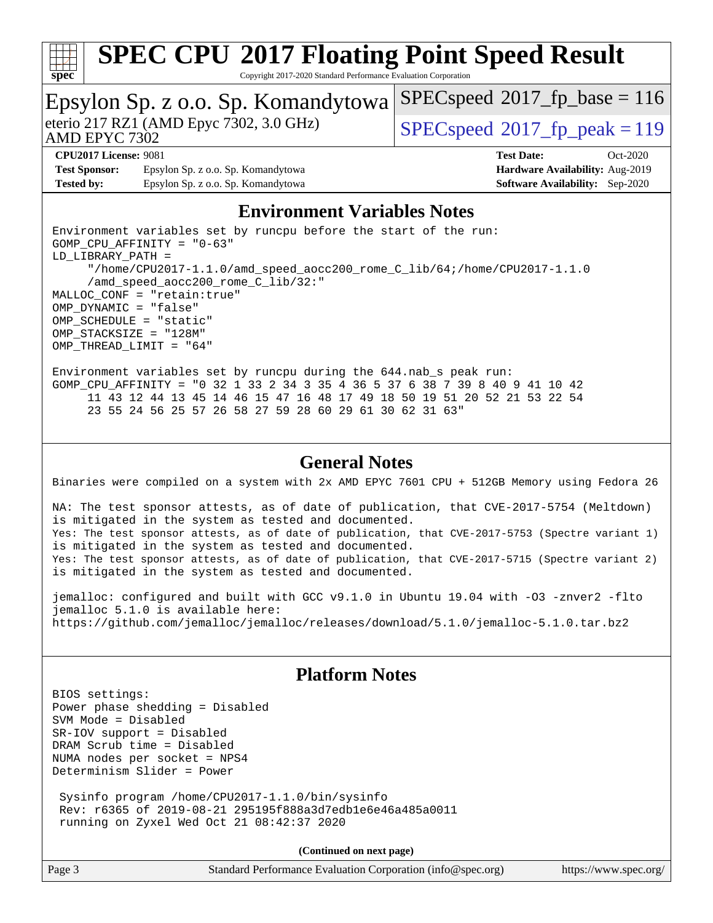

Copyright 2017-2020 Standard Performance Evaluation Corporation

# Epsylon Sp. z o.o. Sp. Komandytowa<br>eterio 217 RZ1 (AMD Epyc 7302, 3.0 GHz)

AMD EPYC 7302

[SPECspeed](http://www.spec.org/auto/cpu2017/Docs/result-fields.html#SPECspeed2017fppeak)<sup>®</sup>2017 fp peak = 119

[SPECspeed](http://www.spec.org/auto/cpu2017/Docs/result-fields.html#SPECspeed2017fpbase)<sup>®</sup>2017 fp base = 116

**[Test Sponsor:](http://www.spec.org/auto/cpu2017/Docs/result-fields.html#TestSponsor)** Epsylon Sp. z o.o. Sp. Komandytowa **[Hardware Availability:](http://www.spec.org/auto/cpu2017/Docs/result-fields.html#HardwareAvailability)** Aug-2019 **[Tested by:](http://www.spec.org/auto/cpu2017/Docs/result-fields.html#Testedby)** Epsylon Sp. z o.o. Sp. Komandytowa **[Software Availability:](http://www.spec.org/auto/cpu2017/Docs/result-fields.html#SoftwareAvailability)** Sep-2020

**[CPU2017 License:](http://www.spec.org/auto/cpu2017/Docs/result-fields.html#CPU2017License)** 9081 **[Test Date:](http://www.spec.org/auto/cpu2017/Docs/result-fields.html#TestDate)** Oct-2020

### **[Environment Variables Notes](http://www.spec.org/auto/cpu2017/Docs/result-fields.html#EnvironmentVariablesNotes)**

Environment variables set by runcpu before the start of the run: GOMP\_CPU\_AFFINITY = "0-63" LD\_LIBRARY\_PATH = "/home/CPU2017-1.1.0/amd\_speed\_aocc200\_rome\_C\_lib/64;/home/CPU2017-1.1.0 /amd\_speed\_aocc200\_rome\_C\_lib/32:" MALLOC\_CONF = "retain:true" OMP\_DYNAMIC = "false" OMP\_SCHEDULE = "static" OMP\_STACKSIZE = "128M" OMP\_THREAD\_LIMIT = "64"

Environment variables set by runcpu during the 644.nab\_s peak run: GOMP CPU AFFINITY = "0 32 1 33 2 34 3 35 4 36 5 37 6 38 7 39 8 40 9 41 10 42 11 43 12 44 13 45 14 46 15 47 16 48 17 49 18 50 19 51 20 52 21 53 22 54 23 55 24 56 25 57 26 58 27 59 28 60 29 61 30 62 31 63"

#### **[General Notes](http://www.spec.org/auto/cpu2017/Docs/result-fields.html#GeneralNotes)**

Binaries were compiled on a system with 2x AMD EPYC 7601 CPU + 512GB Memory using Fedora 26

NA: The test sponsor attests, as of date of publication, that CVE-2017-5754 (Meltdown) is mitigated in the system as tested and documented. Yes: The test sponsor attests, as of date of publication, that CVE-2017-5753 (Spectre variant 1) is mitigated in the system as tested and documented. Yes: The test sponsor attests, as of date of publication, that CVE-2017-5715 (Spectre variant 2) is mitigated in the system as tested and documented.

jemalloc: configured and built with GCC v9.1.0 in Ubuntu 19.04 with -O3 -znver2 -flto jemalloc 5.1.0 is available here: <https://github.com/jemalloc/jemalloc/releases/download/5.1.0/jemalloc-5.1.0.tar.bz2>

### **[Platform Notes](http://www.spec.org/auto/cpu2017/Docs/result-fields.html#PlatformNotes)**

BIOS settings: Power phase shedding = Disabled SVM Mode = Disabled SR-IOV support = Disabled DRAM Scrub time = Disabled NUMA nodes per socket = NPS4 Determinism Slider = Power

 Sysinfo program /home/CPU2017-1.1.0/bin/sysinfo Rev: r6365 of 2019-08-21 295195f888a3d7edb1e6e46a485a0011 running on Zyxel Wed Oct 21 08:42:37 2020

**(Continued on next page)**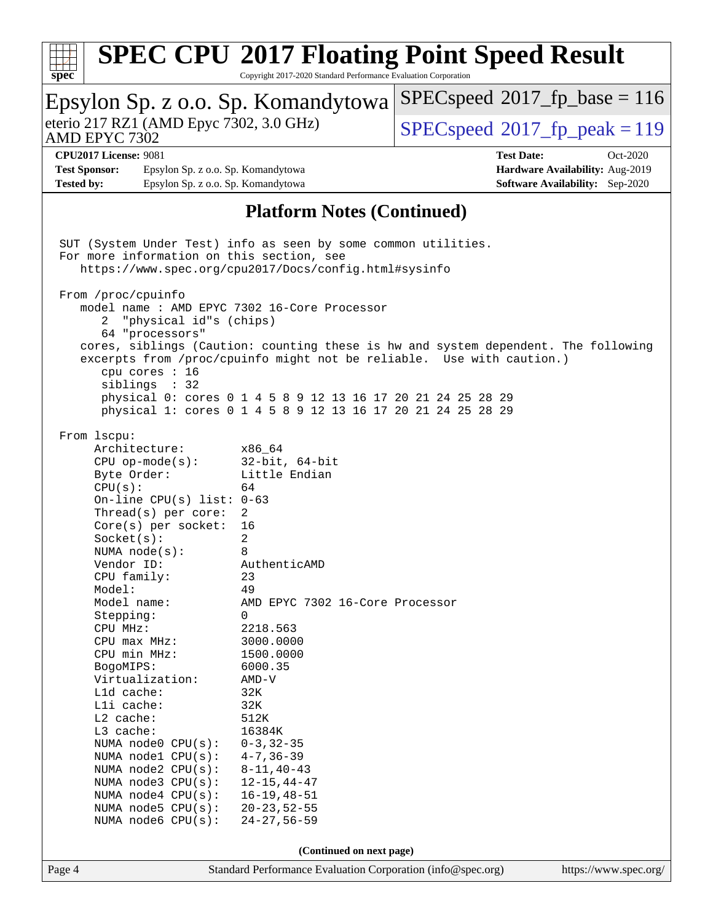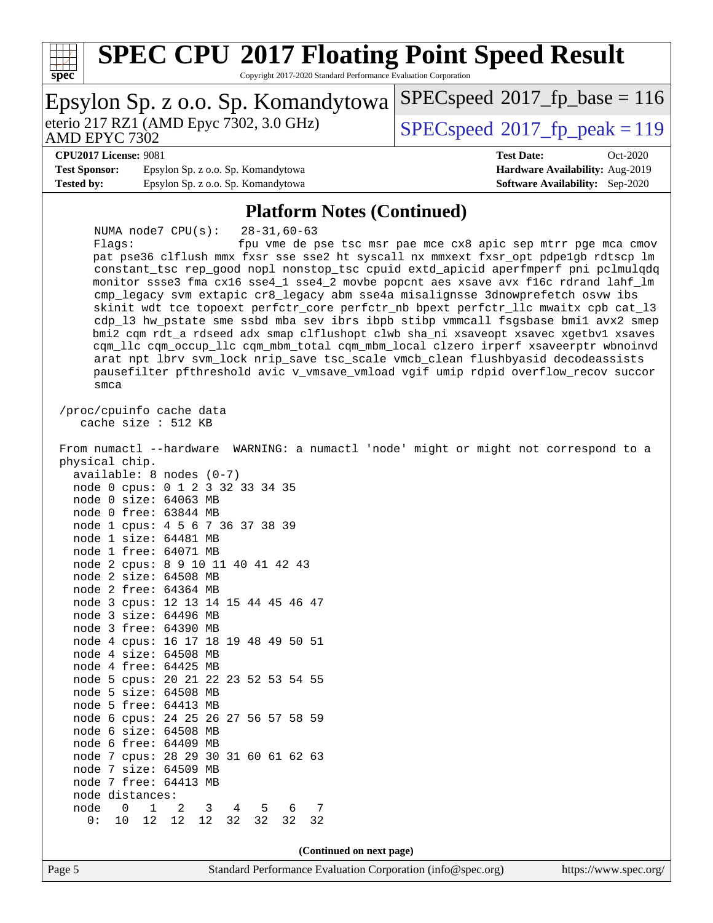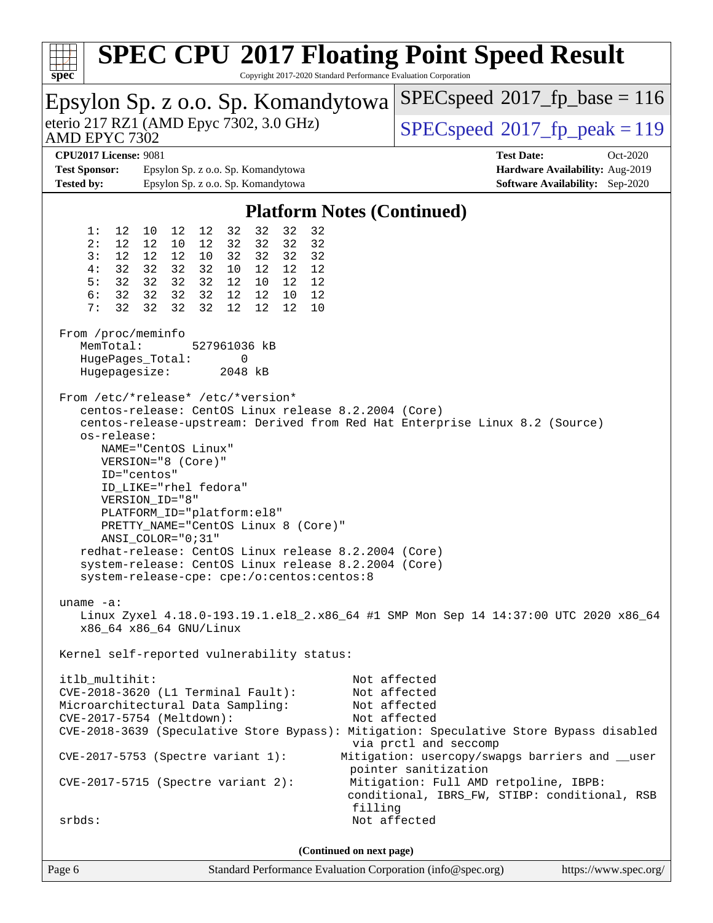| $spec^*$                                                                                                                                                                                                                                                                                                                                                                                                                                                                                                                                                                                                                                            |          |                         |               |                  |                                          |                                    |                                                                                        |          |          |  | <b>SPEC CPU®2017 Floating Point Speed Result</b><br>Copyright 2017-2020 Standard Performance Evaluation Corporation |                       |
|-----------------------------------------------------------------------------------------------------------------------------------------------------------------------------------------------------------------------------------------------------------------------------------------------------------------------------------------------------------------------------------------------------------------------------------------------------------------------------------------------------------------------------------------------------------------------------------------------------------------------------------------------------|----------|-------------------------|---------------|------------------|------------------------------------------|------------------------------------|----------------------------------------------------------------------------------------|----------|----------|--|---------------------------------------------------------------------------------------------------------------------|-----------------------|
| Epsylon Sp. z o.o. Sp. Komandytowa                                                                                                                                                                                                                                                                                                                                                                                                                                                                                                                                                                                                                  |          |                         |               |                  | $SPEC speed^{\circ}2017\_fp\_base = 116$ |                                    |                                                                                        |          |          |  |                                                                                                                     |                       |
| eterio 217 RZ1 (AMD Epyc 7302, 3.0 GHz)<br>AMD EPYC 7302                                                                                                                                                                                                                                                                                                                                                                                                                                                                                                                                                                                            |          |                         |               |                  |                                          |                                    | $SPEC speed^{\circ}2017$ fp peak = 119                                                 |          |          |  |                                                                                                                     |                       |
| <b>CPU2017 License: 9081</b>                                                                                                                                                                                                                                                                                                                                                                                                                                                                                                                                                                                                                        |          |                         |               |                  |                                          |                                    |                                                                                        |          |          |  | <b>Test Date:</b>                                                                                                   | Oct-2020              |
| <b>Test Sponsor:</b>                                                                                                                                                                                                                                                                                                                                                                                                                                                                                                                                                                                                                                |          |                         |               |                  |                                          | Epsylon Sp. z o.o. Sp. Komandytowa |                                                                                        |          |          |  | Hardware Availability: Aug-2019                                                                                     |                       |
| <b>Tested by:</b><br>Epsylon Sp. z o.o. Sp. Komandytowa                                                                                                                                                                                                                                                                                                                                                                                                                                                                                                                                                                                             |          |                         |               |                  |                                          |                                    | <b>Software Availability:</b> Sep-2020                                                 |          |          |  |                                                                                                                     |                       |
| <b>Platform Notes (Continued)</b>                                                                                                                                                                                                                                                                                                                                                                                                                                                                                                                                                                                                                   |          |                         |               |                  |                                          |                                    |                                                                                        |          |          |  |                                                                                                                     |                       |
|                                                                                                                                                                                                                                                                                                                                                                                                                                                                                                                                                                                                                                                     | 1:       | 12                      | 10            | 12               | 12                                       | 32                                 | 32                                                                                     | 32       | 32       |  |                                                                                                                     |                       |
|                                                                                                                                                                                                                                                                                                                                                                                                                                                                                                                                                                                                                                                     | 2:<br>3: | 12<br>$12 \overline{ }$ | 12<br>12      | 10<br>12         | 12<br>10                                 | 32<br>32                           | 32<br>32                                                                               | 32<br>32 | 32<br>32 |  |                                                                                                                     |                       |
|                                                                                                                                                                                                                                                                                                                                                                                                                                                                                                                                                                                                                                                     | 4:       | 32                      | 32            | 32               | 32                                       | 10                                 | 12                                                                                     | 12       | 12       |  |                                                                                                                     |                       |
|                                                                                                                                                                                                                                                                                                                                                                                                                                                                                                                                                                                                                                                     | 5:       | 32                      | 32            | 32               | 32                                       | 12                                 | 10                                                                                     | 12       | 12       |  |                                                                                                                     |                       |
|                                                                                                                                                                                                                                                                                                                                                                                                                                                                                                                                                                                                                                                     | 6:       | 32                      | 32            | 32               | 32                                       | 12                                 | 12                                                                                     | 10       | 12       |  |                                                                                                                     |                       |
|                                                                                                                                                                                                                                                                                                                                                                                                                                                                                                                                                                                                                                                     | 7:       | 32                      | 32            | 32               | 32                                       | $12 \overline{ }$                  | 12                                                                                     | 12       | 10       |  |                                                                                                                     |                       |
|                                                                                                                                                                                                                                                                                                                                                                                                                                                                                                                                                                                                                                                     |          |                         |               |                  |                                          |                                    |                                                                                        |          |          |  |                                                                                                                     |                       |
| From /proc/meminfo<br>MemTotal:<br>527961036 kB                                                                                                                                                                                                                                                                                                                                                                                                                                                                                                                                                                                                     |          |                         |               |                  |                                          |                                    |                                                                                        |          |          |  |                                                                                                                     |                       |
|                                                                                                                                                                                                                                                                                                                                                                                                                                                                                                                                                                                                                                                     |          |                         |               | HugePages_Total: |                                          | 0                                  |                                                                                        |          |          |  |                                                                                                                     |                       |
|                                                                                                                                                                                                                                                                                                                                                                                                                                                                                                                                                                                                                                                     |          |                         | Hugepagesize: |                  |                                          | 2048 kB                            |                                                                                        |          |          |  |                                                                                                                     |                       |
| centos-release: CentOS Linux release 8.2.2004 (Core)<br>centos-release-upstream: Derived from Red Hat Enterprise Linux 8.2 (Source)<br>os-release:<br>NAME="CentOS Linux"<br>VERSION="8 (Core)"<br>ID="centos"<br>ID LIKE="rhel fedora"<br>VERSION_ID="8"<br>PLATFORM_ID="platform:el8"<br>PRETTY_NAME="CentOS Linux 8 (Core)"<br>ANSI_COLOR="0;31"<br>redhat-release: CentOS Linux release 8.2.2004 (Core)<br>system-release: CentOS Linux release 8.2.2004 (Core)<br>system-release-cpe: cpe:/o:centos:centos:8<br>uname $-a$ :<br>Linux Zyxel 4.18.0-193.19.1.el8_2.x86_64 #1 SMP Mon Sep 14 14:37:00 UTC 2020 x86_64<br>x86 64 x86 64 GNU/Linux |          |                         |               |                  |                                          |                                    |                                                                                        |          |          |  |                                                                                                                     |                       |
| Kernel self-reported vulnerability status:                                                                                                                                                                                                                                                                                                                                                                                                                                                                                                                                                                                                          |          |                         |               |                  |                                          |                                    |                                                                                        |          |          |  |                                                                                                                     |                       |
| itlb_multihit:<br>Not affected<br>Not affected<br>$CVE-2018-3620$ (L1 Terminal Fault):<br>Microarchitectural Data Sampling:<br>Not affected<br>CVE-2017-5754 (Meltdown):<br>Not affected<br>CVE-2018-3639 (Speculative Store Bypass): Mitigation: Speculative Store Bypass disabled<br>via prctl and seccomp<br>CVE-2017-5753 (Spectre variant 1):<br>Mitigation: usercopy/swapgs barriers and __user<br>pointer sanitization                                                                                                                                                                                                                       |          |                         |               |                  |                                          |                                    |                                                                                        |          |          |  |                                                                                                                     |                       |
| $CVE-2017-5715$ (Spectre variant 2):<br>filling                                                                                                                                                                                                                                                                                                                                                                                                                                                                                                                                                                                                     |          |                         |               |                  |                                          |                                    | Mitigation: Full AMD retpoline, IBPB:<br>conditional, IBRS_FW, STIBP: conditional, RSB |          |          |  |                                                                                                                     |                       |
| $srbds$ :                                                                                                                                                                                                                                                                                                                                                                                                                                                                                                                                                                                                                                           |          |                         |               |                  |                                          |                                    |                                                                                        |          |          |  | Not affected                                                                                                        |                       |
|                                                                                                                                                                                                                                                                                                                                                                                                                                                                                                                                                                                                                                                     |          |                         |               |                  |                                          |                                    |                                                                                        |          |          |  |                                                                                                                     |                       |
| (Continued on next page)                                                                                                                                                                                                                                                                                                                                                                                                                                                                                                                                                                                                                            |          |                         |               |                  |                                          |                                    |                                                                                        |          |          |  |                                                                                                                     |                       |
| Page 6                                                                                                                                                                                                                                                                                                                                                                                                                                                                                                                                                                                                                                              |          |                         |               |                  |                                          |                                    |                                                                                        |          |          |  | Standard Performance Evaluation Corporation (info@spec.org)                                                         | https://www.spec.org/ |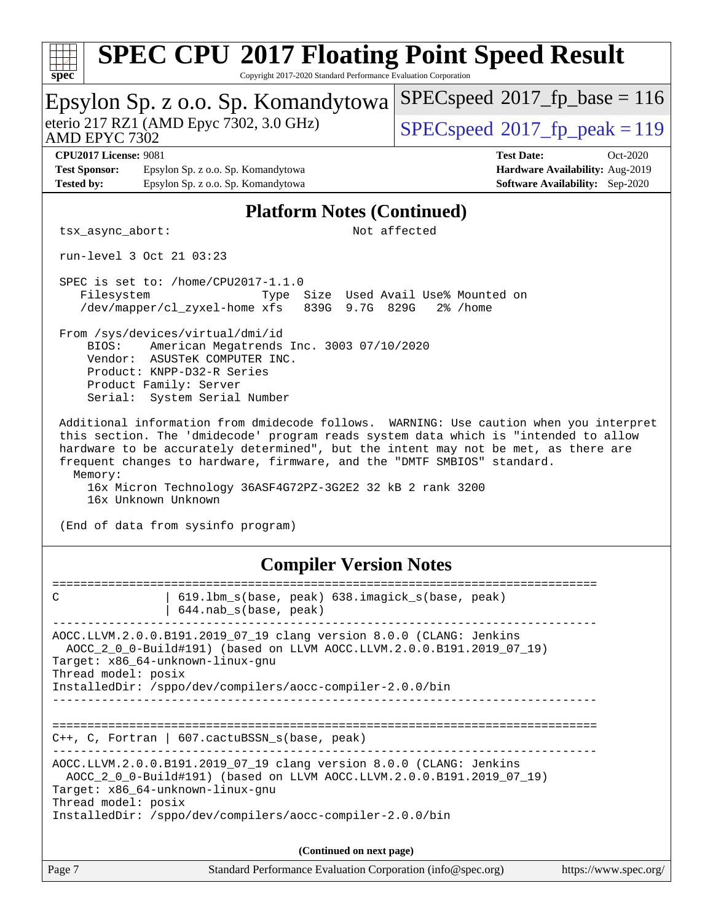| <b>SPEC CPU®2017 Floating Point Speed Result</b><br>Copyright 2017-2020 Standard Performance Evaluation Corporation<br>spec <sup>®</sup>                                                                                                                                                                                                                                                  |                                                                                                            |  |  |  |  |
|-------------------------------------------------------------------------------------------------------------------------------------------------------------------------------------------------------------------------------------------------------------------------------------------------------------------------------------------------------------------------------------------|------------------------------------------------------------------------------------------------------------|--|--|--|--|
| Epsylon Sp. z o.o. Sp. Komandytowa                                                                                                                                                                                                                                                                                                                                                        | $SPEC speed^{\circ}2017\_fp\_base = 116$                                                                   |  |  |  |  |
| eterio 217 RZ1 (AMD Epyc 7302, 3.0 GHz)<br>AMD EPYC 7302                                                                                                                                                                                                                                                                                                                                  | $SPEC speed^{\circ}2017$ fp peak = 119                                                                     |  |  |  |  |
| <b>CPU2017 License: 9081</b><br><b>Test Sponsor:</b><br>Epsylon Sp. z o.o. Sp. Komandytowa<br><b>Tested by:</b><br>Epsylon Sp. z o.o. Sp. Komandytowa                                                                                                                                                                                                                                     | <b>Test Date:</b><br>Oct-2020<br>Hardware Availability: Aug-2019<br><b>Software Availability:</b> Sep-2020 |  |  |  |  |
| <b>Platform Notes (Continued)</b>                                                                                                                                                                                                                                                                                                                                                         |                                                                                                            |  |  |  |  |
| Not affected<br>tsx_async_abort:                                                                                                                                                                                                                                                                                                                                                          |                                                                                                            |  |  |  |  |
| run-level 3 Oct 21 03:23                                                                                                                                                                                                                                                                                                                                                                  |                                                                                                            |  |  |  |  |
| SPEC is set to: /home/CPU2017-1.1.0<br>Type Size Used Avail Use% Mounted on<br>Filesystem<br>/dev/mapper/cl_zyxel-home xfs<br>839G 9.7G 829G<br>$2\%$ /home                                                                                                                                                                                                                               |                                                                                                            |  |  |  |  |
| From /sys/devices/virtual/dmi/id<br>BIOS:<br>American Megatrends Inc. 3003 07/10/2020<br>Vendor: ASUSTeK COMPUTER INC.<br>Product: KNPP-D32-R Series<br>Product Family: Server<br>Serial: System Serial Number                                                                                                                                                                            |                                                                                                            |  |  |  |  |
| this section. The 'dmidecode' program reads system data which is "intended to allow<br>hardware to be accurately determined", but the intent may not be met, as there are<br>frequent changes to hardware, firmware, and the "DMTF SMBIOS" standard.<br>Memory:<br>16x Micron Technology 36ASF4G72PZ-3G2E2 32 kB 2 rank 3200<br>16x Unknown Unknown<br>(End of data from sysinfo program) |                                                                                                            |  |  |  |  |
| <b>Compiler Version Notes</b>                                                                                                                                                                                                                                                                                                                                                             |                                                                                                            |  |  |  |  |
| 619.1bm_s(base, peak) 638.imagick_s(base, peak)<br>C<br>644.nab s(base, peak)                                                                                                                                                                                                                                                                                                             |                                                                                                            |  |  |  |  |
| AOCC.LLVM.2.0.0.B191.2019_07_19 clang version 8.0.0 (CLANG: Jenkins<br>AOCC_2_0_0-Build#191) (based on LLVM AOCC.LLVM.2.0.0.B191.2019_07_19)<br>Target: x86_64-unknown-linux-gnu<br>Thread model: posix                                                                                                                                                                                   |                                                                                                            |  |  |  |  |
| InstalledDir: /sppo/dev/compilers/aocc-compiler-2.0.0/bin                                                                                                                                                                                                                                                                                                                                 |                                                                                                            |  |  |  |  |
| $C++$ , C, Fortran   607.cactuBSSN_s(base, peak)                                                                                                                                                                                                                                                                                                                                          |                                                                                                            |  |  |  |  |
| AOCC.LLVM.2.0.0.B191.2019_07_19 clang version 8.0.0 (CLANG: Jenkins<br>AOCC_2_0_0-Build#191) (based on LLVM AOCC.LLVM.2.0.0.B191.2019_07_19)<br>Target: x86_64-unknown-linux-gnu<br>Thread model: posix<br>InstalledDir: /sppo/dev/compilers/aocc-compiler-2.0.0/bin                                                                                                                      |                                                                                                            |  |  |  |  |
| (Continued on next page)                                                                                                                                                                                                                                                                                                                                                                  |                                                                                                            |  |  |  |  |
| Page 7<br>Standard Performance Evaluation Corporation (info@spec.org)                                                                                                                                                                                                                                                                                                                     | https://www.spec.org/                                                                                      |  |  |  |  |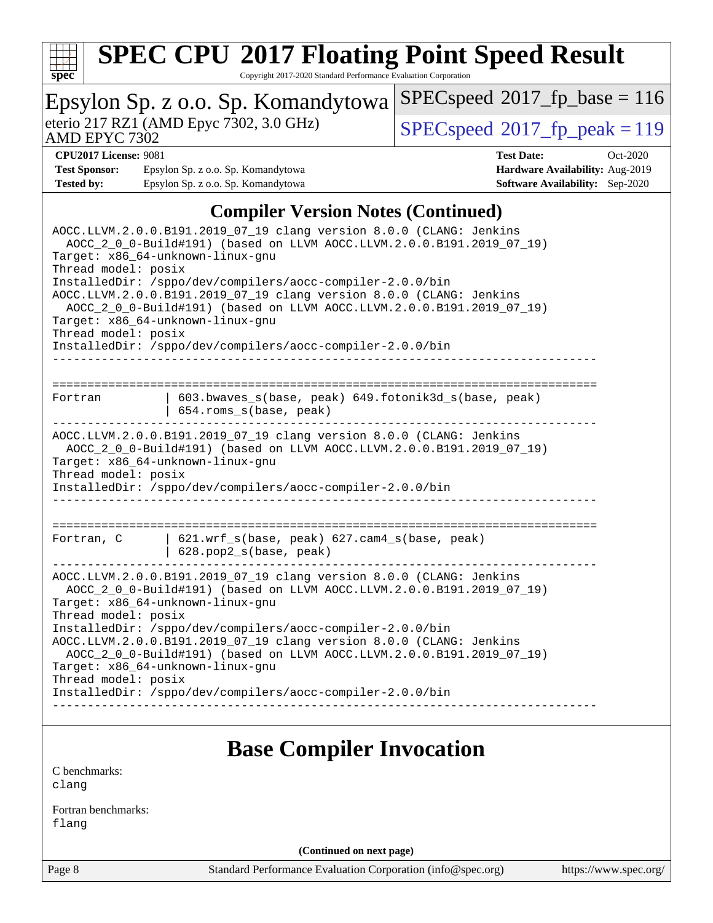

Copyright 2017-2020 Standard Performance Evaluation Corporation

| spec                                                                                                                                                                                                                                                                                                                                                                                                                                                                                                                                         | Copyright 2017-2020 Standard Performance Evaluation Corporation                                                                                                                                                                               |                                         |  |  |  |  |  |
|----------------------------------------------------------------------------------------------------------------------------------------------------------------------------------------------------------------------------------------------------------------------------------------------------------------------------------------------------------------------------------------------------------------------------------------------------------------------------------------------------------------------------------------------|-----------------------------------------------------------------------------------------------------------------------------------------------------------------------------------------------------------------------------------------------|-----------------------------------------|--|--|--|--|--|
|                                                                                                                                                                                                                                                                                                                                                                                                                                                                                                                                              | Epsylon Sp. z o.o. Sp. Komandytowa                                                                                                                                                                                                            | $SPEC speed^{\circ}2017$ fp base = 116  |  |  |  |  |  |
| AMD EPYC 7302                                                                                                                                                                                                                                                                                                                                                                                                                                                                                                                                | eterio 217 RZ1 (AMD Epyc 7302, 3.0 GHz)                                                                                                                                                                                                       | $SPEC speed^{\circ}2017$ _fp_peak = 119 |  |  |  |  |  |
| <b>CPU2017 License: 9081</b>                                                                                                                                                                                                                                                                                                                                                                                                                                                                                                                 |                                                                                                                                                                                                                                               | <b>Test Date:</b><br>Oct-2020           |  |  |  |  |  |
| <b>Test Sponsor:</b>                                                                                                                                                                                                                                                                                                                                                                                                                                                                                                                         | Epsylon Sp. z o.o. Sp. Komandytowa                                                                                                                                                                                                            | Hardware Availability: Aug-2019         |  |  |  |  |  |
| <b>Tested by:</b>                                                                                                                                                                                                                                                                                                                                                                                                                                                                                                                            | Epsylon Sp. z o.o. Sp. Komandytowa                                                                                                                                                                                                            | <b>Software Availability:</b> Sep-2020  |  |  |  |  |  |
| Thread model: posix                                                                                                                                                                                                                                                                                                                                                                                                                                                                                                                          | <b>Compiler Version Notes (Continued)</b><br>AOCC.LLVM.2.0.0.B191.2019_07_19 clang version 8.0.0 (CLANG: Jenkins<br>AOCC_2_0_0-Build#191) (based on LLVM AOCC.LLVM.2.0.0.B191.2019_07_19)<br>Target: x86_64-unknown-linux-gnu                 |                                         |  |  |  |  |  |
| InstalledDir: /sppo/dev/compilers/aocc-compiler-2.0.0/bin<br>AOCC.LLVM.2.0.0.B191.2019_07_19 clang version 8.0.0 (CLANG: Jenkins<br>AOCC_2_0_0-Build#191) (based on LLVM AOCC.LLVM.2.0.0.B191.2019_07_19)<br>Target: x86_64-unknown-linux-gnu<br>Thread model: posix<br>InstalledDir: /sppo/dev/compilers/aocc-compiler-2.0.0/bin                                                                                                                                                                                                            |                                                                                                                                                                                                                                               |                                         |  |  |  |  |  |
| 603.bwaves_s(base, peak) 649.fotonik3d_s(base, peak)<br>Fortran<br>654.roms_s(base, peak)                                                                                                                                                                                                                                                                                                                                                                                                                                                    |                                                                                                                                                                                                                                               |                                         |  |  |  |  |  |
| Thread model: posix                                                                                                                                                                                                                                                                                                                                                                                                                                                                                                                          | AOCC.LLVM.2.0.0.B191.2019_07_19 clang version 8.0.0 (CLANG: Jenkins<br>AOCC_2_0_0-Build#191) (based on LLVM AOCC.LLVM.2.0.0.B191.2019_07_19)<br>Target: x86_64-unknown-linux-gnu<br>InstalledDir: /sppo/dev/compilers/aocc-compiler-2.0.0/bin |                                         |  |  |  |  |  |
| 621.wrf_s(base, peak) 627.cam4_s(base, peak)<br>Fortran, C<br>628.pop2_s(base, peak)                                                                                                                                                                                                                                                                                                                                                                                                                                                         |                                                                                                                                                                                                                                               |                                         |  |  |  |  |  |
| AOCC.LLVM.2.0.0.B191.2019_07_19 clang version 8.0.0 (CLANG: Jenkins<br>AOCC_2_0_0-Build#191) (based on LLVM AOCC.LLVM.2.0.0.B191.2019_07_19)<br>Target: x86_64-unknown-linux-gnu<br>Thread model: posix<br>InstalledDir: /sppo/dev/compilers/aocc-compiler-2.0.0/bin<br>AOCC.LLVM.2.0.0.B191.2019_07_19 clang version 8.0.0 (CLANG: Jenkins<br>AOCC_2_0_0-Build#191) (based on LLVM AOCC.LLVM.2.0.0.B191.2019_07_19)<br>Target: x86_64-unknown-linux-gnu<br>Thread model: posix<br>InstalledDir: /sppo/dev/compilers/aocc-compiler-2.0.0/bin |                                                                                                                                                                                                                                               |                                         |  |  |  |  |  |
|                                                                                                                                                                                                                                                                                                                                                                                                                                                                                                                                              |                                                                                                                                                                                                                                               |                                         |  |  |  |  |  |
| C benchmarks:<br>clang                                                                                                                                                                                                                                                                                                                                                                                                                                                                                                                       | <b>Base Compiler Invocation</b>                                                                                                                                                                                                               |                                         |  |  |  |  |  |

[Fortran benchmarks](http://www.spec.org/auto/cpu2017/Docs/result-fields.html#Fortranbenchmarks): [flang](http://www.spec.org/cpu2017/results/res2020q4/cpu2017-20201026-24261.flags.html#user_FCbase_flang)

**(Continued on next page)**

Page 8 Standard Performance Evaluation Corporation [\(info@spec.org\)](mailto:info@spec.org) <https://www.spec.org/>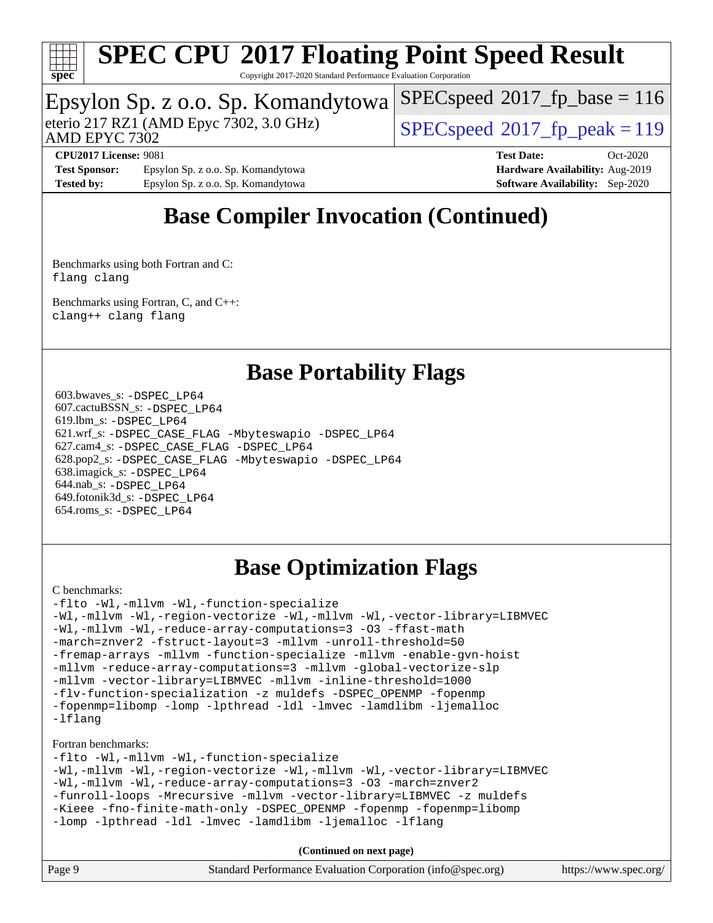

Copyright 2017-2020 Standard Performance Evaluation Corporation

### Epsylon Sp. z o.o. Sp. Komandytowa

eterio 217 RZ1 (AMD Epyc 7302, 3.0 GHz)  $\left| \text{SPEC speed} \right|^{2}$  (2017 fp\_peak = 119

[SPECspeed](http://www.spec.org/auto/cpu2017/Docs/result-fields.html#SPECspeed2017fpbase)<sup>®</sup>2017 fp base = 116

AMD EPYC 7302

**[CPU2017 License:](http://www.spec.org/auto/cpu2017/Docs/result-fields.html#CPU2017License)** 9081 **[Test Date:](http://www.spec.org/auto/cpu2017/Docs/result-fields.html#TestDate)** Oct-2020 **[Test Sponsor:](http://www.spec.org/auto/cpu2017/Docs/result-fields.html#TestSponsor)** Epsylon Sp. z o.o. Sp. Komandytowa **[Hardware Availability:](http://www.spec.org/auto/cpu2017/Docs/result-fields.html#HardwareAvailability)** Aug-2019 **[Tested by:](http://www.spec.org/auto/cpu2017/Docs/result-fields.html#Testedby)** Epsylon Sp. z o.o. Sp. Komandytowa **[Software Availability:](http://www.spec.org/auto/cpu2017/Docs/result-fields.html#SoftwareAvailability)** Sep-2020

## **[Base Compiler Invocation \(Continued\)](http://www.spec.org/auto/cpu2017/Docs/result-fields.html#BaseCompilerInvocation)**

[Benchmarks using both Fortran and C](http://www.spec.org/auto/cpu2017/Docs/result-fields.html#BenchmarksusingbothFortranandC): [flang](http://www.spec.org/cpu2017/results/res2020q4/cpu2017-20201026-24261.flags.html#user_CC_FCbase_flang) [clang](http://www.spec.org/cpu2017/results/res2020q4/cpu2017-20201026-24261.flags.html#user_CC_FCbase_clang-c)

[Benchmarks using Fortran, C, and C++:](http://www.spec.org/auto/cpu2017/Docs/result-fields.html#BenchmarksusingFortranCandCXX) [clang++](http://www.spec.org/cpu2017/results/res2020q4/cpu2017-20201026-24261.flags.html#user_CC_CXX_FCbase_clang-cpp) [clang](http://www.spec.org/cpu2017/results/res2020q4/cpu2017-20201026-24261.flags.html#user_CC_CXX_FCbase_clang-c) [flang](http://www.spec.org/cpu2017/results/res2020q4/cpu2017-20201026-24261.flags.html#user_CC_CXX_FCbase_flang)

### **[Base Portability Flags](http://www.spec.org/auto/cpu2017/Docs/result-fields.html#BasePortabilityFlags)**

 603.bwaves\_s: [-DSPEC\\_LP64](http://www.spec.org/cpu2017/results/res2020q4/cpu2017-20201026-24261.flags.html#suite_baseEXTRA_PORTABILITY603_bwaves_s_DSPEC_LP64) 607.cactuBSSN\_s: [-DSPEC\\_LP64](http://www.spec.org/cpu2017/results/res2020q4/cpu2017-20201026-24261.flags.html#suite_baseEXTRA_PORTABILITY607_cactuBSSN_s_DSPEC_LP64) 619.lbm\_s: [-DSPEC\\_LP64](http://www.spec.org/cpu2017/results/res2020q4/cpu2017-20201026-24261.flags.html#suite_baseEXTRA_PORTABILITY619_lbm_s_DSPEC_LP64) 621.wrf\_s: [-DSPEC\\_CASE\\_FLAG](http://www.spec.org/cpu2017/results/res2020q4/cpu2017-20201026-24261.flags.html#b621.wrf_s_baseCPORTABILITY_DSPEC_CASE_FLAG) [-Mbyteswapio](http://www.spec.org/cpu2017/results/res2020q4/cpu2017-20201026-24261.flags.html#user_baseFPORTABILITY621_wrf_s_F-mbyteswapio_543c39ce38db59bcbc3b888917ef58c313007ae1c27520b689e012995ae261114051d1d5efcb4182d175ce22a6a15532d3a9999882dd2c360e6d853f41da6883) [-DSPEC\\_LP64](http://www.spec.org/cpu2017/results/res2020q4/cpu2017-20201026-24261.flags.html#suite_baseEXTRA_PORTABILITY621_wrf_s_DSPEC_LP64) 627.cam4\_s: [-DSPEC\\_CASE\\_FLAG](http://www.spec.org/cpu2017/results/res2020q4/cpu2017-20201026-24261.flags.html#b627.cam4_s_basePORTABILITY_DSPEC_CASE_FLAG) [-DSPEC\\_LP64](http://www.spec.org/cpu2017/results/res2020q4/cpu2017-20201026-24261.flags.html#suite_baseEXTRA_PORTABILITY627_cam4_s_DSPEC_LP64) 628.pop2\_s: [-DSPEC\\_CASE\\_FLAG](http://www.spec.org/cpu2017/results/res2020q4/cpu2017-20201026-24261.flags.html#b628.pop2_s_baseCPORTABILITY_DSPEC_CASE_FLAG) [-Mbyteswapio](http://www.spec.org/cpu2017/results/res2020q4/cpu2017-20201026-24261.flags.html#user_baseFPORTABILITY628_pop2_s_F-mbyteswapio_543c39ce38db59bcbc3b888917ef58c313007ae1c27520b689e012995ae261114051d1d5efcb4182d175ce22a6a15532d3a9999882dd2c360e6d853f41da6883) [-DSPEC\\_LP64](http://www.spec.org/cpu2017/results/res2020q4/cpu2017-20201026-24261.flags.html#suite_baseEXTRA_PORTABILITY628_pop2_s_DSPEC_LP64) 638.imagick\_s: [-DSPEC\\_LP64](http://www.spec.org/cpu2017/results/res2020q4/cpu2017-20201026-24261.flags.html#suite_baseEXTRA_PORTABILITY638_imagick_s_DSPEC_LP64) 644.nab\_s: [-DSPEC\\_LP64](http://www.spec.org/cpu2017/results/res2020q4/cpu2017-20201026-24261.flags.html#suite_baseEXTRA_PORTABILITY644_nab_s_DSPEC_LP64) 649.fotonik3d\_s: [-DSPEC\\_LP64](http://www.spec.org/cpu2017/results/res2020q4/cpu2017-20201026-24261.flags.html#suite_baseEXTRA_PORTABILITY649_fotonik3d_s_DSPEC_LP64) 654.roms\_s: [-DSPEC\\_LP64](http://www.spec.org/cpu2017/results/res2020q4/cpu2017-20201026-24261.flags.html#suite_baseEXTRA_PORTABILITY654_roms_s_DSPEC_LP64)

## **[Base Optimization Flags](http://www.spec.org/auto/cpu2017/Docs/result-fields.html#BaseOptimizationFlags)**

#### [C benchmarks](http://www.spec.org/auto/cpu2017/Docs/result-fields.html#Cbenchmarks):

[-flto](http://www.spec.org/cpu2017/results/res2020q4/cpu2017-20201026-24261.flags.html#user_CCbase_aocc-flto) [-Wl,-mllvm -Wl,-function-specialize](http://www.spec.org/cpu2017/results/res2020q4/cpu2017-20201026-24261.flags.html#user_CCbase_F-function-specialize_7e7e661e57922243ee67c9a1251cb8910e607325179a0ce7f2884e09a6f5d4a5ef0ae4f37e8a2a11c95fc48e931f06dc2b6016f14b511fcb441e048bef1b065a) [-Wl,-mllvm -Wl,-region-vectorize](http://www.spec.org/cpu2017/results/res2020q4/cpu2017-20201026-24261.flags.html#user_CCbase_F-region-vectorize_fb6c6b5aa293c88efc6c7c2b52b20755e943585b1fe8658c35afef78727fff56e1a56891413c30e36b8e2a6f9a71126986319243e80eb6110b78b288f533c52b) [-Wl,-mllvm -Wl,-vector-library=LIBMVEC](http://www.spec.org/cpu2017/results/res2020q4/cpu2017-20201026-24261.flags.html#user_CCbase_F-use-vector-library_0a14b27fae317f283640384a31f7bfcc2bd4c1d0b5cfc618a3a430800c9b20217b00f61303eff223a3251b4f06ffbc9739dc5296db9d1fbb9ad24a3939d86d66) [-Wl,-mllvm -Wl,-reduce-array-computations=3](http://www.spec.org/cpu2017/results/res2020q4/cpu2017-20201026-24261.flags.html#user_CCbase_F-reduce-array-computations_b882aefe7a5dda4e33149f6299762b9a720dace3e498e13756f4c04e5a19edf5315c1f3993de2e61ec41e8c206231f84e05da7040e1bb5d69ba27d10a12507e4) [-O3](http://www.spec.org/cpu2017/results/res2020q4/cpu2017-20201026-24261.flags.html#user_CCbase_F-O3) [-ffast-math](http://www.spec.org/cpu2017/results/res2020q4/cpu2017-20201026-24261.flags.html#user_CCbase_aocc-ffast-math) [-march=znver2](http://www.spec.org/cpu2017/results/res2020q4/cpu2017-20201026-24261.flags.html#user_CCbase_aocc-march_3e2e19cff2eeef60c5d90b059483627c9ea47eca6d66670dbd53f9185f6439e27eb5e104cf773e9e8ab18c8842ce63e461a3e948d0214bd567ef3ade411bf467) [-fstruct-layout=3](http://www.spec.org/cpu2017/results/res2020q4/cpu2017-20201026-24261.flags.html#user_CCbase_F-struct-layout) [-mllvm -unroll-threshold=50](http://www.spec.org/cpu2017/results/res2020q4/cpu2017-20201026-24261.flags.html#user_CCbase_F-unroll-threshold_458874500b2c105d6d5cb4d7a611c40e2b16e9e3d26b355fea72d644c3673b4de4b3932662f0ed3dbec75c491a13da2d2ca81180bd779dc531083ef1e1e549dc) [-fremap-arrays](http://www.spec.org/cpu2017/results/res2020q4/cpu2017-20201026-24261.flags.html#user_CCbase_F-fremap-arrays) [-mllvm -function-specialize](http://www.spec.org/cpu2017/results/res2020q4/cpu2017-20201026-24261.flags.html#user_CCbase_F-function-specialize_233b3bdba86027f1b094368157e481c5bc59f40286dc25bfadc1858dcd5745c24fd30d5f188710db7fea399bcc9f44a80b3ce3aacc70a8870250c3ae5e1f35b8) [-mllvm -enable-gvn-hoist](http://www.spec.org/cpu2017/results/res2020q4/cpu2017-20201026-24261.flags.html#user_CCbase_F-enable-gvn-hoist_e5856354646dd6ca1333a0ad99b817e4cf8932b91b82809fd8fd47ceff7b22a89eba5c98fd3e3fa5200368fd772cec3dd56abc3c8f7b655a71b9f9848dddedd5) [-mllvm -reduce-array-computations=3](http://www.spec.org/cpu2017/results/res2020q4/cpu2017-20201026-24261.flags.html#user_CCbase_F-reduce-array-computations_aceadb8604558b566e0e3a0d7a3c1533923dd1fa0889614e16288028922629a28d5695c24d3b3be4306b1e311c54317dfffe3a2e57fbcaabc737a1798de39145) [-mllvm -global-vectorize-slp](http://www.spec.org/cpu2017/results/res2020q4/cpu2017-20201026-24261.flags.html#user_CCbase_F-global-vectorize-slp_a3935e8627af4ced727033b1ffd4db27f4d541a363d28d82bf4c2925fb3a0fd4115d6e42d13a2829f9e024d6608eb67a85cb49770f2da5c5ac8dbc737afad603) [-mllvm -vector-library=LIBMVEC](http://www.spec.org/cpu2017/results/res2020q4/cpu2017-20201026-24261.flags.html#user_CCbase_F-use-vector-library_e584e20b4f7ec96aa109254b65d8e01d864f3d68580371b9d93ed7c338191d4cfce20c3c864632264effc6bbe4c7c38153d02096a342ee92501c4a53204a7871) [-mllvm -inline-threshold=1000](http://www.spec.org/cpu2017/results/res2020q4/cpu2017-20201026-24261.flags.html#user_CCbase_dragonegg-llvm-inline-threshold_b7832241b0a6397e4ecdbaf0eb7defdc10f885c2a282fa3240fdc99844d543fda39cf8a4a9dccf68cf19b5438ac3b455264f478df15da0f4988afa40d8243bab) [-flv-function-specialization](http://www.spec.org/cpu2017/results/res2020q4/cpu2017-20201026-24261.flags.html#user_CCbase_F-flv-function-specialization) [-z muldefs](http://www.spec.org/cpu2017/results/res2020q4/cpu2017-20201026-24261.flags.html#user_CCbase_aocc-muldefs) [-DSPEC\\_OPENMP](http://www.spec.org/cpu2017/results/res2020q4/cpu2017-20201026-24261.flags.html#suite_CCbase_DSPEC_OPENMP) [-fopenmp](http://www.spec.org/cpu2017/results/res2020q4/cpu2017-20201026-24261.flags.html#user_CCbase_aocc-fopenmp) [-fopenmp=libomp](http://www.spec.org/cpu2017/results/res2020q4/cpu2017-20201026-24261.flags.html#user_CCbase_aocc-fopenmp_3eb6ab80166bcc84161ff8c20c8d5bc344f88119f45620444596454f7d72e99b7a0ceefc2d1b4d190bd07306bbfdfc20f11f5a2dc69c9b03c72239f8406741c3) [-lomp](http://www.spec.org/cpu2017/results/res2020q4/cpu2017-20201026-24261.flags.html#user_CCbase_F-lomp) [-lpthread](http://www.spec.org/cpu2017/results/res2020q4/cpu2017-20201026-24261.flags.html#user_CCbase_F-lpthread) [-ldl](http://www.spec.org/cpu2017/results/res2020q4/cpu2017-20201026-24261.flags.html#user_CCbase_F-ldl) [-lmvec](http://www.spec.org/cpu2017/results/res2020q4/cpu2017-20201026-24261.flags.html#user_CCbase_F-lmvec) [-lamdlibm](http://www.spec.org/cpu2017/results/res2020q4/cpu2017-20201026-24261.flags.html#user_CCbase_F-lamdlibm) [-ljemalloc](http://www.spec.org/cpu2017/results/res2020q4/cpu2017-20201026-24261.flags.html#user_CCbase_jemalloc-lib) [-lflang](http://www.spec.org/cpu2017/results/res2020q4/cpu2017-20201026-24261.flags.html#user_CCbase_F-lflang)

#### [Fortran benchmarks](http://www.spec.org/auto/cpu2017/Docs/result-fields.html#Fortranbenchmarks):

[-flto](http://www.spec.org/cpu2017/results/res2020q4/cpu2017-20201026-24261.flags.html#user_FCbase_aocc-flto) [-Wl,-mllvm -Wl,-function-specialize](http://www.spec.org/cpu2017/results/res2020q4/cpu2017-20201026-24261.flags.html#user_FCbase_F-function-specialize_7e7e661e57922243ee67c9a1251cb8910e607325179a0ce7f2884e09a6f5d4a5ef0ae4f37e8a2a11c95fc48e931f06dc2b6016f14b511fcb441e048bef1b065a) [-Wl,-mllvm -Wl,-region-vectorize](http://www.spec.org/cpu2017/results/res2020q4/cpu2017-20201026-24261.flags.html#user_FCbase_F-region-vectorize_fb6c6b5aa293c88efc6c7c2b52b20755e943585b1fe8658c35afef78727fff56e1a56891413c30e36b8e2a6f9a71126986319243e80eb6110b78b288f533c52b) [-Wl,-mllvm -Wl,-vector-library=LIBMVEC](http://www.spec.org/cpu2017/results/res2020q4/cpu2017-20201026-24261.flags.html#user_FCbase_F-use-vector-library_0a14b27fae317f283640384a31f7bfcc2bd4c1d0b5cfc618a3a430800c9b20217b00f61303eff223a3251b4f06ffbc9739dc5296db9d1fbb9ad24a3939d86d66) [-Wl,-mllvm -Wl,-reduce-array-computations=3](http://www.spec.org/cpu2017/results/res2020q4/cpu2017-20201026-24261.flags.html#user_FCbase_F-reduce-array-computations_b882aefe7a5dda4e33149f6299762b9a720dace3e498e13756f4c04e5a19edf5315c1f3993de2e61ec41e8c206231f84e05da7040e1bb5d69ba27d10a12507e4) [-O3](http://www.spec.org/cpu2017/results/res2020q4/cpu2017-20201026-24261.flags.html#user_FCbase_F-O3) [-march=znver2](http://www.spec.org/cpu2017/results/res2020q4/cpu2017-20201026-24261.flags.html#user_FCbase_aocc-march_3e2e19cff2eeef60c5d90b059483627c9ea47eca6d66670dbd53f9185f6439e27eb5e104cf773e9e8ab18c8842ce63e461a3e948d0214bd567ef3ade411bf467) [-funroll-loops](http://www.spec.org/cpu2017/results/res2020q4/cpu2017-20201026-24261.flags.html#user_FCbase_aocc-unroll-loops) [-Mrecursive](http://www.spec.org/cpu2017/results/res2020q4/cpu2017-20201026-24261.flags.html#user_FCbase_F-mrecursive_20a145d63f12d5750a899e17d4450b5b8b40330a9bb4af13688ca650e6fb30857bbbe44fb35cdbb895df6e5b2769de0a0d7659f51ff17acfbef6febafec4023f) [-mllvm -vector-library=LIBMVEC](http://www.spec.org/cpu2017/results/res2020q4/cpu2017-20201026-24261.flags.html#user_FCbase_F-use-vector-library_e584e20b4f7ec96aa109254b65d8e01d864f3d68580371b9d93ed7c338191d4cfce20c3c864632264effc6bbe4c7c38153d02096a342ee92501c4a53204a7871) [-z muldefs](http://www.spec.org/cpu2017/results/res2020q4/cpu2017-20201026-24261.flags.html#user_FCbase_aocc-muldefs) [-Kieee](http://www.spec.org/cpu2017/results/res2020q4/cpu2017-20201026-24261.flags.html#user_FCbase_F-kieee) [-fno-finite-math-only](http://www.spec.org/cpu2017/results/res2020q4/cpu2017-20201026-24261.flags.html#user_FCbase_aocc-fno-finite-math-only) [-DSPEC\\_OPENMP](http://www.spec.org/cpu2017/results/res2020q4/cpu2017-20201026-24261.flags.html#suite_FCbase_DSPEC_OPENMP) [-fopenmp](http://www.spec.org/cpu2017/results/res2020q4/cpu2017-20201026-24261.flags.html#user_FCbase_aocc-fopenmp) [-fopenmp=libomp](http://www.spec.org/cpu2017/results/res2020q4/cpu2017-20201026-24261.flags.html#user_FCbase_aocc-fopenmp_3eb6ab80166bcc84161ff8c20c8d5bc344f88119f45620444596454f7d72e99b7a0ceefc2d1b4d190bd07306bbfdfc20f11f5a2dc69c9b03c72239f8406741c3) [-lomp](http://www.spec.org/cpu2017/results/res2020q4/cpu2017-20201026-24261.flags.html#user_FCbase_F-lomp) [-lpthread](http://www.spec.org/cpu2017/results/res2020q4/cpu2017-20201026-24261.flags.html#user_FCbase_F-lpthread) [-ldl](http://www.spec.org/cpu2017/results/res2020q4/cpu2017-20201026-24261.flags.html#user_FCbase_F-ldl) [-lmvec](http://www.spec.org/cpu2017/results/res2020q4/cpu2017-20201026-24261.flags.html#user_FCbase_F-lmvec) [-lamdlibm](http://www.spec.org/cpu2017/results/res2020q4/cpu2017-20201026-24261.flags.html#user_FCbase_F-lamdlibm) [-ljemalloc](http://www.spec.org/cpu2017/results/res2020q4/cpu2017-20201026-24261.flags.html#user_FCbase_jemalloc-lib) [-lflang](http://www.spec.org/cpu2017/results/res2020q4/cpu2017-20201026-24261.flags.html#user_FCbase_F-lflang)

**(Continued on next page)**

| Page 9 | Standard Performance Evaluation Corporation (info@spec.org) | https://www.spec.org/ |
|--------|-------------------------------------------------------------|-----------------------|
|--------|-------------------------------------------------------------|-----------------------|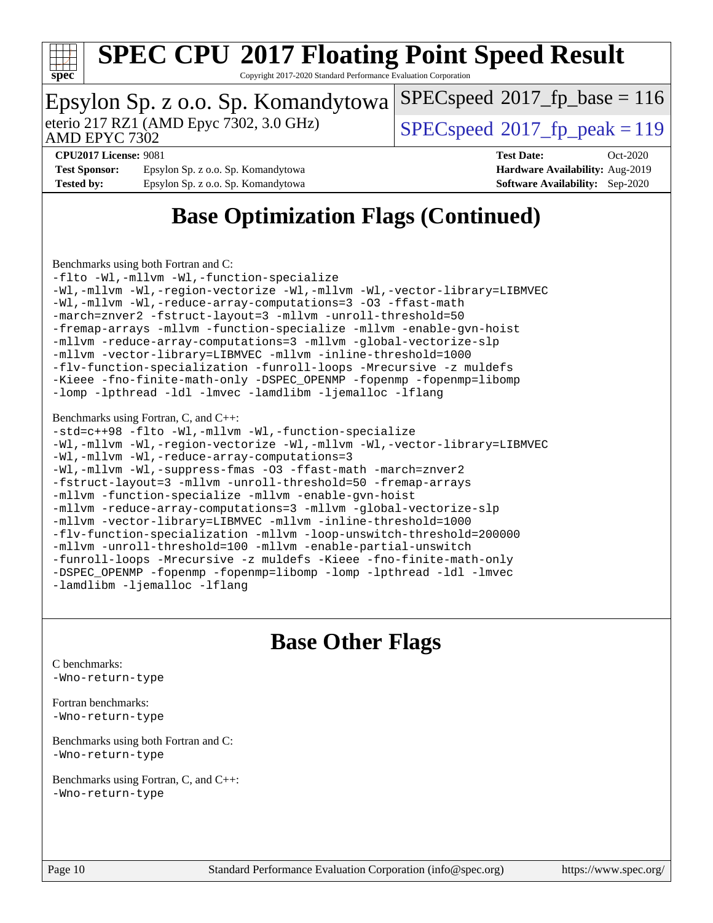

Copyright 2017-2020 Standard Performance Evaluation Corporation

#### Epsylon Sp. z o.o. Sp. Komandytowa AMD EPYC 7302 eterio 217 RZ1 (AMD Epyc 7302, 3.0 GHz)  $\left| \text{SPEC speed} \right|^{2}$  (2017 fp\_peak = 119 [SPECspeed](http://www.spec.org/auto/cpu2017/Docs/result-fields.html#SPECspeed2017fpbase)<sup>®</sup>2017 fp base = 116 **[CPU2017 License:](http://www.spec.org/auto/cpu2017/Docs/result-fields.html#CPU2017License)** 9081 **[Test Date:](http://www.spec.org/auto/cpu2017/Docs/result-fields.html#TestDate)** Oct-2020 **[Test Sponsor:](http://www.spec.org/auto/cpu2017/Docs/result-fields.html#TestSponsor)** Epsylon Sp. z o.o. Sp. Komandytowa **[Hardware Availability:](http://www.spec.org/auto/cpu2017/Docs/result-fields.html#HardwareAvailability)** Aug-2019 **[Tested by:](http://www.spec.org/auto/cpu2017/Docs/result-fields.html#Testedby)** Epsylon Sp. z o.o. Sp. Komandytowa **[Software Availability:](http://www.spec.org/auto/cpu2017/Docs/result-fields.html#SoftwareAvailability)** Sep-2020

## **[Base Optimization Flags \(Continued\)](http://www.spec.org/auto/cpu2017/Docs/result-fields.html#BaseOptimizationFlags)**

[Benchmarks using both Fortran and C](http://www.spec.org/auto/cpu2017/Docs/result-fields.html#BenchmarksusingbothFortranandC):

[-flto](http://www.spec.org/cpu2017/results/res2020q4/cpu2017-20201026-24261.flags.html#user_CC_FCbase_aocc-flto) [-Wl,-mllvm -Wl,-function-specialize](http://www.spec.org/cpu2017/results/res2020q4/cpu2017-20201026-24261.flags.html#user_CC_FCbase_F-function-specialize_7e7e661e57922243ee67c9a1251cb8910e607325179a0ce7f2884e09a6f5d4a5ef0ae4f37e8a2a11c95fc48e931f06dc2b6016f14b511fcb441e048bef1b065a) [-Wl,-mllvm -Wl,-region-vectorize](http://www.spec.org/cpu2017/results/res2020q4/cpu2017-20201026-24261.flags.html#user_CC_FCbase_F-region-vectorize_fb6c6b5aa293c88efc6c7c2b52b20755e943585b1fe8658c35afef78727fff56e1a56891413c30e36b8e2a6f9a71126986319243e80eb6110b78b288f533c52b) [-Wl,-mllvm -Wl,-vector-library=LIBMVEC](http://www.spec.org/cpu2017/results/res2020q4/cpu2017-20201026-24261.flags.html#user_CC_FCbase_F-use-vector-library_0a14b27fae317f283640384a31f7bfcc2bd4c1d0b5cfc618a3a430800c9b20217b00f61303eff223a3251b4f06ffbc9739dc5296db9d1fbb9ad24a3939d86d66) [-Wl,-mllvm -Wl,-reduce-array-computations=3](http://www.spec.org/cpu2017/results/res2020q4/cpu2017-20201026-24261.flags.html#user_CC_FCbase_F-reduce-array-computations_b882aefe7a5dda4e33149f6299762b9a720dace3e498e13756f4c04e5a19edf5315c1f3993de2e61ec41e8c206231f84e05da7040e1bb5d69ba27d10a12507e4) [-O3](http://www.spec.org/cpu2017/results/res2020q4/cpu2017-20201026-24261.flags.html#user_CC_FCbase_F-O3) [-ffast-math](http://www.spec.org/cpu2017/results/res2020q4/cpu2017-20201026-24261.flags.html#user_CC_FCbase_aocc-ffast-math) [-march=znver2](http://www.spec.org/cpu2017/results/res2020q4/cpu2017-20201026-24261.flags.html#user_CC_FCbase_aocc-march_3e2e19cff2eeef60c5d90b059483627c9ea47eca6d66670dbd53f9185f6439e27eb5e104cf773e9e8ab18c8842ce63e461a3e948d0214bd567ef3ade411bf467) [-fstruct-layout=3](http://www.spec.org/cpu2017/results/res2020q4/cpu2017-20201026-24261.flags.html#user_CC_FCbase_F-struct-layout) [-mllvm -unroll-threshold=50](http://www.spec.org/cpu2017/results/res2020q4/cpu2017-20201026-24261.flags.html#user_CC_FCbase_F-unroll-threshold_458874500b2c105d6d5cb4d7a611c40e2b16e9e3d26b355fea72d644c3673b4de4b3932662f0ed3dbec75c491a13da2d2ca81180bd779dc531083ef1e1e549dc) [-fremap-arrays](http://www.spec.org/cpu2017/results/res2020q4/cpu2017-20201026-24261.flags.html#user_CC_FCbase_F-fremap-arrays) [-mllvm -function-specialize](http://www.spec.org/cpu2017/results/res2020q4/cpu2017-20201026-24261.flags.html#user_CC_FCbase_F-function-specialize_233b3bdba86027f1b094368157e481c5bc59f40286dc25bfadc1858dcd5745c24fd30d5f188710db7fea399bcc9f44a80b3ce3aacc70a8870250c3ae5e1f35b8) [-mllvm -enable-gvn-hoist](http://www.spec.org/cpu2017/results/res2020q4/cpu2017-20201026-24261.flags.html#user_CC_FCbase_F-enable-gvn-hoist_e5856354646dd6ca1333a0ad99b817e4cf8932b91b82809fd8fd47ceff7b22a89eba5c98fd3e3fa5200368fd772cec3dd56abc3c8f7b655a71b9f9848dddedd5) [-mllvm -reduce-array-computations=3](http://www.spec.org/cpu2017/results/res2020q4/cpu2017-20201026-24261.flags.html#user_CC_FCbase_F-reduce-array-computations_aceadb8604558b566e0e3a0d7a3c1533923dd1fa0889614e16288028922629a28d5695c24d3b3be4306b1e311c54317dfffe3a2e57fbcaabc737a1798de39145) [-mllvm -global-vectorize-slp](http://www.spec.org/cpu2017/results/res2020q4/cpu2017-20201026-24261.flags.html#user_CC_FCbase_F-global-vectorize-slp_a3935e8627af4ced727033b1ffd4db27f4d541a363d28d82bf4c2925fb3a0fd4115d6e42d13a2829f9e024d6608eb67a85cb49770f2da5c5ac8dbc737afad603) [-mllvm -vector-library=LIBMVEC](http://www.spec.org/cpu2017/results/res2020q4/cpu2017-20201026-24261.flags.html#user_CC_FCbase_F-use-vector-library_e584e20b4f7ec96aa109254b65d8e01d864f3d68580371b9d93ed7c338191d4cfce20c3c864632264effc6bbe4c7c38153d02096a342ee92501c4a53204a7871) [-mllvm -inline-threshold=1000](http://www.spec.org/cpu2017/results/res2020q4/cpu2017-20201026-24261.flags.html#user_CC_FCbase_dragonegg-llvm-inline-threshold_b7832241b0a6397e4ecdbaf0eb7defdc10f885c2a282fa3240fdc99844d543fda39cf8a4a9dccf68cf19b5438ac3b455264f478df15da0f4988afa40d8243bab) [-flv-function-specialization](http://www.spec.org/cpu2017/results/res2020q4/cpu2017-20201026-24261.flags.html#user_CC_FCbase_F-flv-function-specialization) [-funroll-loops](http://www.spec.org/cpu2017/results/res2020q4/cpu2017-20201026-24261.flags.html#user_CC_FCbase_aocc-unroll-loops) [-Mrecursive](http://www.spec.org/cpu2017/results/res2020q4/cpu2017-20201026-24261.flags.html#user_CC_FCbase_F-mrecursive_20a145d63f12d5750a899e17d4450b5b8b40330a9bb4af13688ca650e6fb30857bbbe44fb35cdbb895df6e5b2769de0a0d7659f51ff17acfbef6febafec4023f) [-z muldefs](http://www.spec.org/cpu2017/results/res2020q4/cpu2017-20201026-24261.flags.html#user_CC_FCbase_aocc-muldefs) [-Kieee](http://www.spec.org/cpu2017/results/res2020q4/cpu2017-20201026-24261.flags.html#user_CC_FCbase_F-kieee) [-fno-finite-math-only](http://www.spec.org/cpu2017/results/res2020q4/cpu2017-20201026-24261.flags.html#user_CC_FCbase_aocc-fno-finite-math-only) [-DSPEC\\_OPENMP](http://www.spec.org/cpu2017/results/res2020q4/cpu2017-20201026-24261.flags.html#suite_CC_FCbase_DSPEC_OPENMP) [-fopenmp](http://www.spec.org/cpu2017/results/res2020q4/cpu2017-20201026-24261.flags.html#user_CC_FCbase_aocc-fopenmp) [-fopenmp=libomp](http://www.spec.org/cpu2017/results/res2020q4/cpu2017-20201026-24261.flags.html#user_CC_FCbase_aocc-fopenmp_3eb6ab80166bcc84161ff8c20c8d5bc344f88119f45620444596454f7d72e99b7a0ceefc2d1b4d190bd07306bbfdfc20f11f5a2dc69c9b03c72239f8406741c3) [-lomp](http://www.spec.org/cpu2017/results/res2020q4/cpu2017-20201026-24261.flags.html#user_CC_FCbase_F-lomp) [-lpthread](http://www.spec.org/cpu2017/results/res2020q4/cpu2017-20201026-24261.flags.html#user_CC_FCbase_F-lpthread) [-ldl](http://www.spec.org/cpu2017/results/res2020q4/cpu2017-20201026-24261.flags.html#user_CC_FCbase_F-ldl) [-lmvec](http://www.spec.org/cpu2017/results/res2020q4/cpu2017-20201026-24261.flags.html#user_CC_FCbase_F-lmvec) [-lamdlibm](http://www.spec.org/cpu2017/results/res2020q4/cpu2017-20201026-24261.flags.html#user_CC_FCbase_F-lamdlibm) [-ljemalloc](http://www.spec.org/cpu2017/results/res2020q4/cpu2017-20201026-24261.flags.html#user_CC_FCbase_jemalloc-lib) [-lflang](http://www.spec.org/cpu2017/results/res2020q4/cpu2017-20201026-24261.flags.html#user_CC_FCbase_F-lflang)

#### [Benchmarks using Fortran, C, and C++:](http://www.spec.org/auto/cpu2017/Docs/result-fields.html#BenchmarksusingFortranCandCXX)

```
-std=c++98 -flto -Wl,-mllvm -Wl,-function-specialize
-Wl,-mllvm -Wl,-region-vectorize-Wl,-mllvm -Wl,-vector-library=LIBMVEC
-Wl,-mllvm -Wl,-reduce-array-computations=3
-Wl,-mllvm -Wl,-suppress-fmas -O3 -ffast-math -march=znver2
-fstruct-layout=3 -mllvm -unroll-threshold=50 -fremap-arrays
-mllvm -function-specialize -mllvm -enable-gvn-hoist
-mllvm -reduce-array-computations=3 -mllvm -global-vectorize-slp
-mllvm -vector-library=LIBMVEC -mllvm -inline-threshold=1000
-flv-function-specialization -mllvm -loop-unswitch-threshold=200000
-mllvm -unroll-threshold=100 -mllvm -enable-partial-unswitch
-funroll-loops -Mrecursive -z muldefs -Kieee -fno-finite-math-only
-DSPEC_OPENMP -fopenmp -fopenmp=libomp -lomp -lpthread -ldl -lmvec
-lamdlibm -ljemalloc -lflang
```
### **[Base Other Flags](http://www.spec.org/auto/cpu2017/Docs/result-fields.html#BaseOtherFlags)**

[C benchmarks](http://www.spec.org/auto/cpu2017/Docs/result-fields.html#Cbenchmarks): [-Wno-return-type](http://www.spec.org/cpu2017/results/res2020q4/cpu2017-20201026-24261.flags.html#user_CCbase_F-Waocc-no-return-type)

[Fortran benchmarks](http://www.spec.org/auto/cpu2017/Docs/result-fields.html#Fortranbenchmarks): [-Wno-return-type](http://www.spec.org/cpu2017/results/res2020q4/cpu2017-20201026-24261.flags.html#user_FCbase_F-Waocc-no-return-type)

[Benchmarks using both Fortran and C](http://www.spec.org/auto/cpu2017/Docs/result-fields.html#BenchmarksusingbothFortranandC): [-Wno-return-type](http://www.spec.org/cpu2017/results/res2020q4/cpu2017-20201026-24261.flags.html#user_CC_FCbase_F-Waocc-no-return-type)

[Benchmarks using Fortran, C, and C++:](http://www.spec.org/auto/cpu2017/Docs/result-fields.html#BenchmarksusingFortranCandCXX) [-Wno-return-type](http://www.spec.org/cpu2017/results/res2020q4/cpu2017-20201026-24261.flags.html#user_CC_CXX_FCbase_F-Waocc-no-return-type)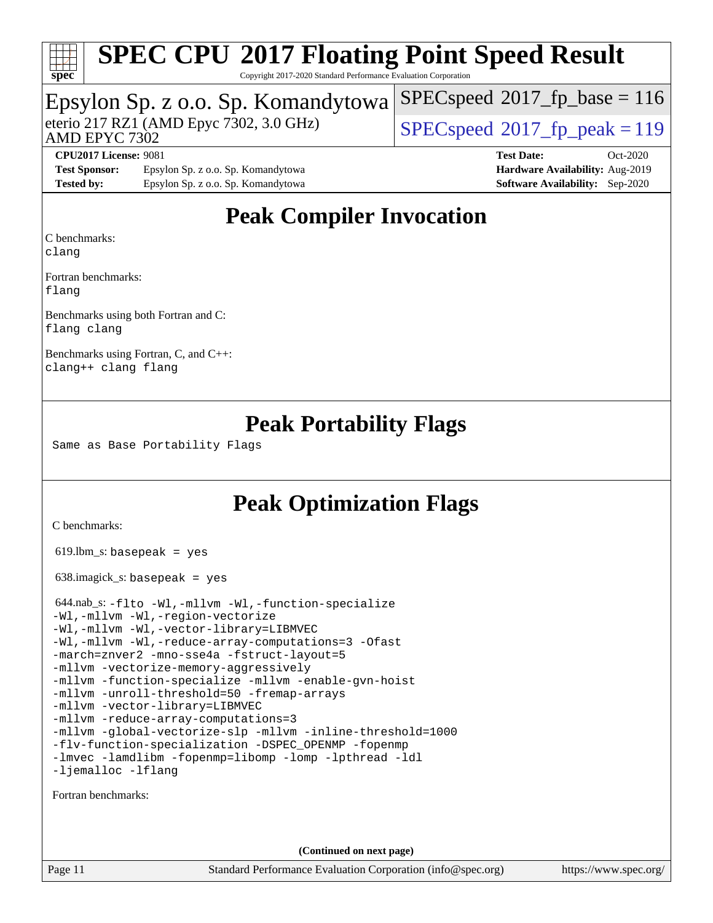

Copyright 2017-2020 Standard Performance Evaluation Corporation

### Epsylon Sp. z o.o. Sp. Komandytowa

AMD EPYC 7302

eterio 217 RZ1 (AMD Epyc 7302, 3.0 GHz)  $\text{SPEC speed}^{\circ}2017\_fp\_peak = 119$ 

 $SPECspeed^{\circledcirc}2017_fp\_base = 116$  $SPECspeed^{\circledcirc}2017_fp\_base = 116$ 

**[Test Sponsor:](http://www.spec.org/auto/cpu2017/Docs/result-fields.html#TestSponsor)** Epsylon Sp. z o.o. Sp. Komandytowa **[Hardware Availability:](http://www.spec.org/auto/cpu2017/Docs/result-fields.html#HardwareAvailability)** Aug-2019 **[Tested by:](http://www.spec.org/auto/cpu2017/Docs/result-fields.html#Testedby)** Epsylon Sp. z o.o. Sp. Komandytowa **[Software Availability:](http://www.spec.org/auto/cpu2017/Docs/result-fields.html#SoftwareAvailability)** Sep-2020

**[CPU2017 License:](http://www.spec.org/auto/cpu2017/Docs/result-fields.html#CPU2017License)** 9081 **[Test Date:](http://www.spec.org/auto/cpu2017/Docs/result-fields.html#TestDate)** Oct-2020

## **[Peak Compiler Invocation](http://www.spec.org/auto/cpu2017/Docs/result-fields.html#PeakCompilerInvocation)**

[C benchmarks](http://www.spec.org/auto/cpu2017/Docs/result-fields.html#Cbenchmarks):

[clang](http://www.spec.org/cpu2017/results/res2020q4/cpu2017-20201026-24261.flags.html#user_CCpeak_clang-c)

[Fortran benchmarks](http://www.spec.org/auto/cpu2017/Docs/result-fields.html#Fortranbenchmarks): [flang](http://www.spec.org/cpu2017/results/res2020q4/cpu2017-20201026-24261.flags.html#user_FCpeak_flang)

[Benchmarks using both Fortran and C](http://www.spec.org/auto/cpu2017/Docs/result-fields.html#BenchmarksusingbothFortranandC): [flang](http://www.spec.org/cpu2017/results/res2020q4/cpu2017-20201026-24261.flags.html#user_CC_FCpeak_flang) [clang](http://www.spec.org/cpu2017/results/res2020q4/cpu2017-20201026-24261.flags.html#user_CC_FCpeak_clang-c)

[Benchmarks using Fortran, C, and C++:](http://www.spec.org/auto/cpu2017/Docs/result-fields.html#BenchmarksusingFortranCandCXX) [clang++](http://www.spec.org/cpu2017/results/res2020q4/cpu2017-20201026-24261.flags.html#user_CC_CXX_FCpeak_clang-cpp) [clang](http://www.spec.org/cpu2017/results/res2020q4/cpu2017-20201026-24261.flags.html#user_CC_CXX_FCpeak_clang-c) [flang](http://www.spec.org/cpu2017/results/res2020q4/cpu2017-20201026-24261.flags.html#user_CC_CXX_FCpeak_flang)

### **[Peak Portability Flags](http://www.spec.org/auto/cpu2017/Docs/result-fields.html#PeakPortabilityFlags)**

Same as Base Portability Flags

### **[Peak Optimization Flags](http://www.spec.org/auto/cpu2017/Docs/result-fields.html#PeakOptimizationFlags)**

[C benchmarks](http://www.spec.org/auto/cpu2017/Docs/result-fields.html#Cbenchmarks):

619.lbm\_s: basepeak = yes

638.imagick\_s: basepeak = yes

| 644.nab_s: -flto -Wl,-mllvm -Wl,-function-specialize       |  |  |  |  |
|------------------------------------------------------------|--|--|--|--|
| -Wl,-mllvm -Wl,-region-vectorize                           |  |  |  |  |
| -Wl,-mllvm -Wl,-vector-library=LIBMVEC                     |  |  |  |  |
| -Wl,-mllvm -Wl,-reduce-array-computations=3 -Ofast         |  |  |  |  |
| -march=znver2 -mno-sse4a -fstruct-layout=5                 |  |  |  |  |
| -mllvm -vectorize-memory-aggressively                      |  |  |  |  |
| -mllvm -function-specialize -mllvm -enable-gvn-hoist       |  |  |  |  |
| -mllvm -unroll-threshold=50 -fremap-arrays                 |  |  |  |  |
| -mllvm -vector-library=LIBMVEC                             |  |  |  |  |
| -mllvm -reduce-array-computations=3                        |  |  |  |  |
| -mllvm -global-vectorize-slp -mllvm -inline-threshold=1000 |  |  |  |  |
| -flv-function-specialization -DSPEC OPENMP -fopenmp        |  |  |  |  |
| -lmvec -lamdlibm -fopenmp=libomp -lomp -lpthread -ldl      |  |  |  |  |
| -ljemalloc -lflang                                         |  |  |  |  |

[Fortran benchmarks](http://www.spec.org/auto/cpu2017/Docs/result-fields.html#Fortranbenchmarks):

**(Continued on next page)**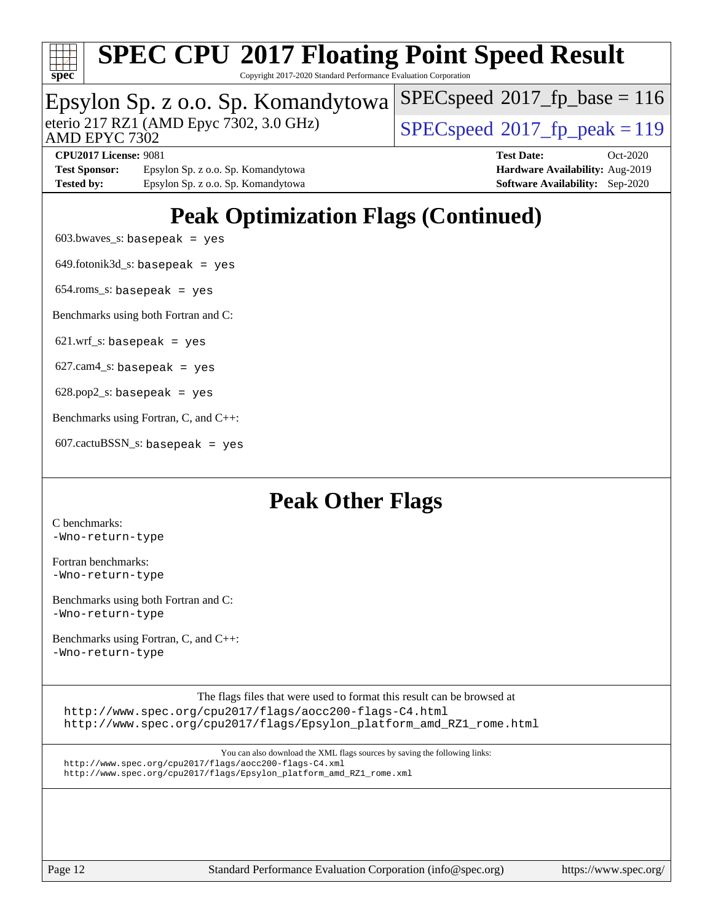

Copyright 2017-2020 Standard Performance Evaluation Corporation

# Epsylon Sp. z o.o. Sp. Komandytowa<br>eterio 217 RZ1 (AMD Epyc 7302, 3.0 GHz)

 $SPECspeed^{\circledcirc}2017_fp\_peak = 119$  $SPECspeed^{\circledcirc}2017_fp\_peak = 119$ 

[SPECspeed](http://www.spec.org/auto/cpu2017/Docs/result-fields.html#SPECspeed2017fpbase)<sup>®</sup>2017 fp base = 116

AMD EPYC 7302

**[CPU2017 License:](http://www.spec.org/auto/cpu2017/Docs/result-fields.html#CPU2017License)** 9081 **[Test Date:](http://www.spec.org/auto/cpu2017/Docs/result-fields.html#TestDate)** Oct-2020 **[Test Sponsor:](http://www.spec.org/auto/cpu2017/Docs/result-fields.html#TestSponsor)** Epsylon Sp. z o.o. Sp. Komandytowa **[Hardware Availability:](http://www.spec.org/auto/cpu2017/Docs/result-fields.html#HardwareAvailability)** Aug-2019 [Tested by:](http://www.spec.org/auto/cpu2017/Docs/result-fields.html#Testedby) Epsylon Sp. z o.o. Sp. Komandytowa **[Software Availability:](http://www.spec.org/auto/cpu2017/Docs/result-fields.html#SoftwareAvailability)** Sep-2020

## **[Peak Optimization Flags \(Continued\)](http://www.spec.org/auto/cpu2017/Docs/result-fields.html#PeakOptimizationFlags)**

 $603.bwaves$  s: basepeak = yes

 $649.$ fotonik $3d$ <sub>s</sub>: basepeak = yes

654.roms\_s: basepeak = yes

[Benchmarks using both Fortran and C](http://www.spec.org/auto/cpu2017/Docs/result-fields.html#BenchmarksusingbothFortranandC):

 $621.wrf$  s: basepeak = yes

 $627.cam4_s$ : basepeak = yes

 $628.pop2_s:$  basepeak = yes

[Benchmarks using Fortran, C, and C++:](http://www.spec.org/auto/cpu2017/Docs/result-fields.html#BenchmarksusingFortranCandCXX)

 $607.cactuBSSN_s$ : basepeak = yes

### **[Peak Other Flags](http://www.spec.org/auto/cpu2017/Docs/result-fields.html#PeakOtherFlags)**

[C benchmarks](http://www.spec.org/auto/cpu2017/Docs/result-fields.html#Cbenchmarks): [-Wno-return-type](http://www.spec.org/cpu2017/results/res2020q4/cpu2017-20201026-24261.flags.html#user_CCpeak_F-Waocc-no-return-type)

[Fortran benchmarks](http://www.spec.org/auto/cpu2017/Docs/result-fields.html#Fortranbenchmarks): [-Wno-return-type](http://www.spec.org/cpu2017/results/res2020q4/cpu2017-20201026-24261.flags.html#user_FCpeak_F-Waocc-no-return-type)

[Benchmarks using both Fortran and C](http://www.spec.org/auto/cpu2017/Docs/result-fields.html#BenchmarksusingbothFortranandC): [-Wno-return-type](http://www.spec.org/cpu2017/results/res2020q4/cpu2017-20201026-24261.flags.html#user_CC_FCpeak_F-Waocc-no-return-type)

[Benchmarks using Fortran, C, and C++:](http://www.spec.org/auto/cpu2017/Docs/result-fields.html#BenchmarksusingFortranCandCXX) [-Wno-return-type](http://www.spec.org/cpu2017/results/res2020q4/cpu2017-20201026-24261.flags.html#user_CC_CXX_FCpeak_F-Waocc-no-return-type)

[The flags files that were used to format this result can be browsed at](tmsearch) <http://www.spec.org/cpu2017/flags/aocc200-flags-C4.html> [http://www.spec.org/cpu2017/flags/Epsylon\\_platform\\_amd\\_RZ1\\_rome.html](http://www.spec.org/cpu2017/flags/Epsylon_platform_amd_RZ1_rome.html)

[You can also download the XML flags sources by saving the following links:](tmsearch) <http://www.spec.org/cpu2017/flags/aocc200-flags-C4.xml> [http://www.spec.org/cpu2017/flags/Epsylon\\_platform\\_amd\\_RZ1\\_rome.xml](http://www.spec.org/cpu2017/flags/Epsylon_platform_amd_RZ1_rome.xml)